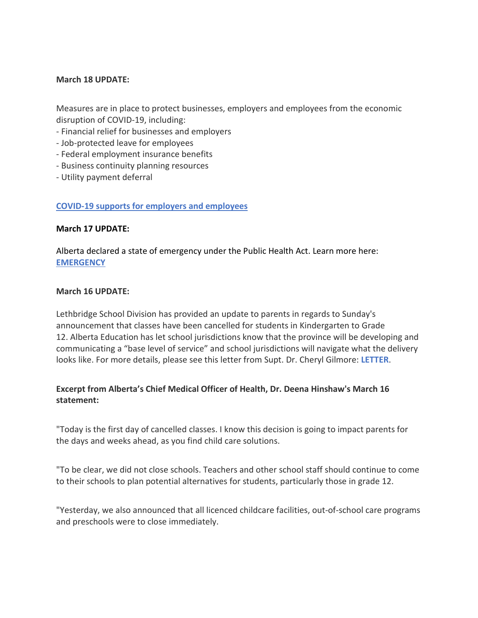### **March 18 UPDATE:**

Measures are in place to protect businesses, employers and employees from the economic disruption of COVID-19, including:

- Financial relief for businesses and employers
- Job-protected leave for employees
- Federal employment insurance benefits
- Business continuity planning resources
- Utility payment deferral

### **[COVID-19 supports for employers and employees](https://www.alberta.ca/coronavirus-info-for-albertans.aspx)**

#### **March 17 UPDATE:**

Alberta declared a state of emergency under the Public Health Act. Learn more here: **[EMERGENCY](https://www.alberta.ca/release.cfm?xID=69828242A5FFC-D75A-C83E-690D8028C0C4E09F)**

### **March 16 UPDATE:**

Lethbridge School Division has provided an update to parents in regards to Sunday's announcement that classes have been cancelled for students in Kindergarten to Grade 12. Alberta Education has let school jurisdictions know that the province will be developing and communicating a "base level of service" and school jurisdictions will navigate what the delivery looks like. For more details, please see this letter from Supt. Dr. Cheryl Gilmore: **[LETTER](http://www.lethsd.ab.ca/download/239562)**.

# **Excerpt from Alberta's Chief Medical Officer of Health, Dr. Deena Hinshaw's March 16 statement:**

"Today is the first day of cancelled classes. I know this decision is going to impact parents for the days and weeks ahead, as you find child care solutions.

"To be clear, we did not close schools. Teachers and other school staff should continue to come to their schools to plan potential alternatives for students, particularly those in grade 12.

"Yesterday, we also announced that all licenced childcare facilities, out-of-school care programs and preschools were to close immediately.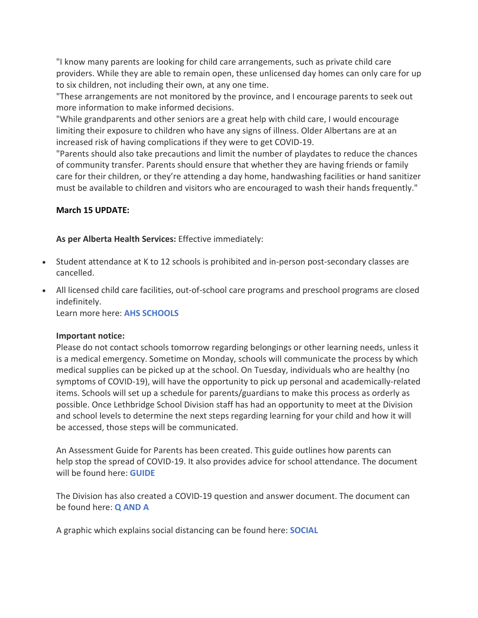"I know many parents are looking for child care arrangements, such as private child care providers. While they are able to remain open, these unlicensed day homes can only care for up to six children, not including their own, at any one time.

"These arrangements are not monitored by the province, and I encourage parents to seek out more information to make informed decisions.

"While grandparents and other seniors are a great help with child care, I would encourage limiting their exposure to children who have any signs of illness. Older Albertans are at an increased risk of having complications if they were to get COVID-19.

"Parents should also take precautions and limit the number of playdates to reduce the chances of community transfer. Parents should ensure that whether they are having friends or family care for their children, or they're attending a day home, handwashing facilities or hand sanitizer must be available to children and visitors who are encouraged to wash their hands frequently."

## **March 15 UPDATE:**

**As per Alberta Health Services:** Effective immediately:

- Student attendance at K to 12 schools is prohibited and in-person post-secondary classes are cancelled.
- All licensed child care facilities, out-of-school care programs and preschool programs are closed indefinitely.

Learn more here: **[AHS SCHOOLS](https://www.alberta.ca/coronavirus-info-for-albertans.aspx)**

### **Important notice:**

Please do not contact schools tomorrow regarding belongings or other learning needs, unless it is a medical emergency. Sometime on Monday, schools will communicate the process by which medical supplies can be picked up at the school. On Tuesday, individuals who are healthy (no symptoms of COVID-19), will have the opportunity to pick up personal and academically-related items. Schools will set up a schedule for parents/guardians to make this process as orderly as possible. Once Lethbridge School Division staff has had an opportunity to meet at the Division and school levels to determine the next steps regarding learning for your child and how it will be accessed, those steps will be communicated.

An Assessment Guide for Parents has been created. This guide outlines how parents can help stop the spread of COVID-19. It also provides advice for school attendance. The document will be found here: **[GUIDE](http://www.lethsd.ab.ca/download/239096)**

The Division has also created a COVID-19 question and answer document. The document can be found here: **[Q AND A](http://www.lethsd.ab.ca/download/239136)**

A graphic which explains social distancing can be found here: **[SOCIAL](http://www.lethsd.ab.ca/download/239176)**